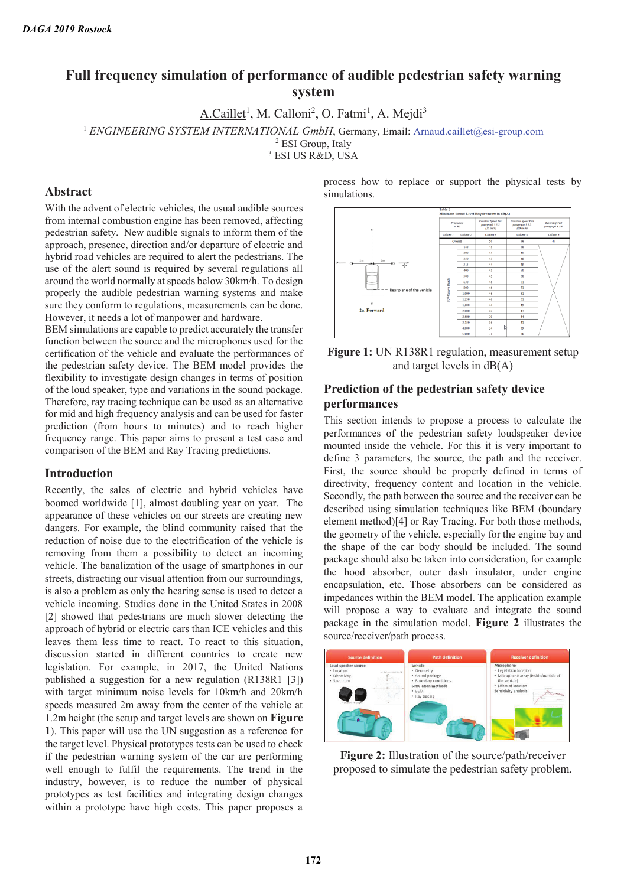# **Full frequency simulation of performance of audible pedestrian safety warning system**

A.Caillet<sup>1</sup>, M. Calloni<sup>2</sup>, O. Fatmi<sup>1</sup>, A. Mejdi<sup>3</sup>

<sup>1</sup> *ENGINEERING SYSTEM INTERNATIONAL GmbH*, Germany, Email: Arnaud.caillet@esi-group.com

<sup>2</sup> ESI Group, Italy

3 ESI US R&D, USA

#### **Abstract**

With the advent of electric vehicles, the usual audible sources from internal combustion engine has been removed, affecting pedestrian safety. New audible signals to inform them of the approach, presence, direction and/or departure of electric and hybrid road vehicles are required to alert the pedestrians. The use of the alert sound is required by several regulations all around the world normally at speeds below 30km/h. To design properly the audible pedestrian warning systems and make sure they conform to regulations, measurements can be done. However, it needs a lot of manpower and hardware.

BEM simulations are capable to predict accurately the transfer function between the source and the microphones used for the certification of the vehicle and evaluate the performances of the pedestrian safety device. The BEM model provides the flexibility to investigate design changes in terms of position of the loud speaker, type and variations in the sound package. Therefore, ray tracing technique can be used as an alternative for mid and high frequency analysis and can be used for faster prediction (from hours to minutes) and to reach higher frequency range. This paper aims to present a test case and comparison of the BEM and Ray Tracing predictions.

#### **Introduction**

Recently, the sales of electric and hybrid vehicles have boomed worldwide [1], almost doubling year on year. The appearance of these vehicles on our streets are creating new dangers. For example, the blind community raised that the reduction of noise due to the electrification of the vehicle is removing from them a possibility to detect an incoming vehicle. The banalization of the usage of smartphones in our streets, distracting our visual attention from our surroundings, is also a problem as only the hearing sense is used to detect a vehicle incoming. Studies done in the United States in 2008 [2] showed that pedestrians are much slower detecting the approach of hybrid or electric cars than ICE vehicles and this leaves them less time to react. To react to this situation, discussion started in different countries to create new legislation. For example, in 2017, the United Nations published a suggestion for a new regulation (R138R1 [3]) with target minimum noise levels for 10km/h and 20km/h speeds measured 2m away from the center of the vehicle at 1.2m height (the setup and target levels are shown on **Figure 1**). This paper will use the UN suggestion as a reference for the target level. Physical prototypes tests can be used to check if the pedestrian warning system of the car are performing well enough to fulfil the requirements. The trend in the industry, however, is to reduce the number of physical prototypes as test facilities and integrating design changes within a prototype have high costs. This paper proposes a

process how to replace or support the physical tests by simulations.



**Figure 1:** UN R138R1 regulation, measurement setup and target levels in dB(A)

## **Prediction of the pedestrian safety device performances**

This section intends to propose a process to calculate the performances of the pedestrian safety loudspeaker device mounted inside the vehicle. For this it is very important to define 3 parameters, the source, the path and the receiver. First, the source should be properly defined in terms of directivity, frequency content and location in the vehicle. Secondly, the path between the source and the receiver can be described using simulation techniques like BEM (boundary element method)[4] or Ray Tracing. For both those methods, the geometry of the vehicle, especially for the engine bay and the shape of the car body should be included. The sound package should also be taken into consideration, for example the hood absorber, outer dash insulator, under engine encapsulation, etc. Those absorbers can be considered as impedances within the BEM model. The application example will propose a way to evaluate and integrate the sound package in the simulation model. **Figure 2** illustrates the source/receiver/path process.



**Figure 2:** Illustration of the source/path/receiver proposed to simulate the pedestrian safety problem.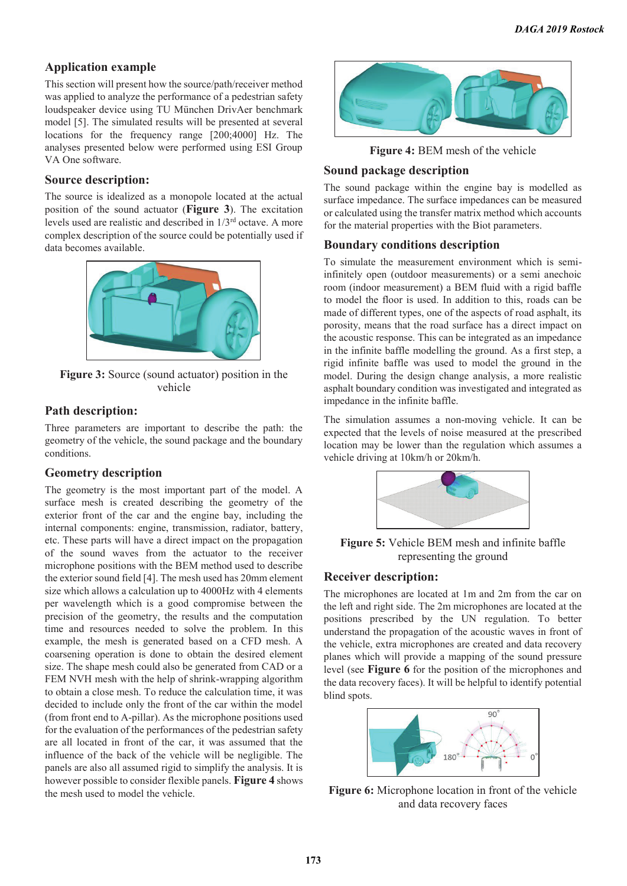## **Application example**

This section will present how the source/path/receiver method was applied to analyze the performance of a pedestrian safety loudspeaker device using TU München DrivAer benchmark model [5]. The simulated results will be presented at several locations for the frequency range [200;4000] Hz. The analyses presented below were performed using ESI Group VA One software.

#### **Source description:**

The source is idealized as a monopole located at the actual position of the sound actuator (**Figure 3**). The excitation levels used are realistic and described in 1/3rd octave. A more complex description of the source could be potentially used if data becomes available.



**Figure 3:** Source (sound actuator) position in the vehicle

## **Path description:**

Three parameters are important to describe the path: the geometry of the vehicle, the sound package and the boundary conditions.

### **Geometry description**

The geometry is the most important part of the model. A surface mesh is created describing the geometry of the exterior front of the car and the engine bay, including the internal components: engine, transmission, radiator, battery, etc. These parts will have a direct impact on the propagation of the sound waves from the actuator to the receiver microphone positions with the BEM method used to describe the exterior sound field [4]. The mesh used has 20mm element size which allows a calculation up to 4000Hz with 4 elements per wavelength which is a good compromise between the precision of the geometry, the results and the computation time and resources needed to solve the problem. In this example, the mesh is generated based on a CFD mesh. A coarsening operation is done to obtain the desired element size. The shape mesh could also be generated from CAD or a FEM NVH mesh with the help of shrink-wrapping algorithm to obtain a close mesh. To reduce the calculation time, it was decided to include only the front of the car within the model (from front end to A-pillar). As the microphone positions used for the evaluation of the performances of the pedestrian safety are all located in front of the car, it was assumed that the influence of the back of the vehicle will be negligible. The panels are also all assumed rigid to simplify the analysis. It is however possible to consider flexible panels. **Figure 4** shows the mesh used to model the vehicle.



**Figure 4:** BEM mesh of the vehicle

## **Sound package description**

The sound package within the engine bay is modelled as surface impedance. The surface impedances can be measured or calculated using the transfer matrix method which accounts for the material properties with the Biot parameters.

### **Boundary conditions description**

To simulate the measurement environment which is semiinfinitely open (outdoor measurements) or a semi anechoic room (indoor measurement) a BEM fluid with a rigid baffle to model the floor is used. In addition to this, roads can be made of different types, one of the aspects of road asphalt, its porosity, means that the road surface has a direct impact on the acoustic response. This can be integrated as an impedance in the infinite baffle modelling the ground. As a first step, a rigid infinite baffle was used to model the ground in the model. During the design change analysis, a more realistic asphalt boundary condition was investigated and integrated as impedance in the infinite baffle.

The simulation assumes a non-moving vehicle. It can be expected that the levels of noise measured at the prescribed location may be lower than the regulation which assumes a vehicle driving at 10km/h or 20km/h.



**Figure 5:** Vehicle BEM mesh and infinite baffle representing the ground

### **Receiver description:**

The microphones are located at 1m and 2m from the car on the left and right side. The 2m microphones are located at the positions prescribed by the UN regulation. To better understand the propagation of the acoustic waves in front of the vehicle, extra microphones are created and data recovery planes which will provide a mapping of the sound pressure level (see **Figure 6** for the position of the microphones and the data recovery faces). It will be helpful to identify potential blind spots.



**Figure 6:** Microphone location in front of the vehicle and data recovery faces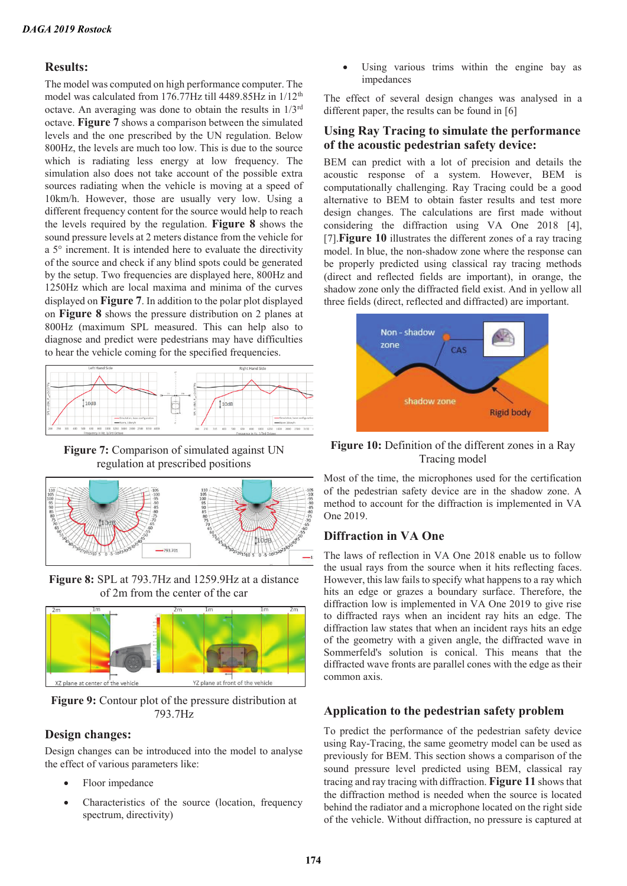#### **Results:**

The model was computed on high performance computer. The model was calculated from 176.77Hz till 4489.85Hz in 1/12<sup>th</sup> octave. An averaging was done to obtain the results in 1/3rd octave. **Figure 7** shows a comparison between the simulated levels and the one prescribed by the UN regulation. Below 800Hz, the levels are much too low. This is due to the source which is radiating less energy at low frequency. The simulation also does not take account of the possible extra sources radiating when the vehicle is moving at a speed of 10km/h. However, those are usually very low. Using a different frequency content for the source would help to reach the levels required by the regulation. **Figure 8** shows the sound pressure levels at 2 meters distance from the vehicle for a 5° increment. It is intended here to evaluate the directivity of the source and check if any blind spots could be generated by the setup. Two frequencies are displayed here, 800Hz and 1250Hz which are local maxima and minima of the curves displayed on **Figure 7**. In addition to the polar plot displayed on **Figure 8** shows the pressure distribution on 2 planes at 800Hz (maximum SPL measured. This can help also to diagnose and predict were pedestrians may have difficulties to hear the vehicle coming for the specified frequencies.



**Figure 7:** Comparison of simulated against UN regulation at prescribed positions



**Figure 8:** SPL at 793.7Hz and 1259.9Hz at a distance of 2m from the center of the car



**Figure 9:** Contour plot of the pressure distribution at 793.7Hz

### **Design changes:**

Design changes can be introduced into the model to analyse the effect of various parameters like:

- Floor impedance
- Characteristics of the source (location, frequency spectrum, directivity)

Using various trims within the engine bay as impedances

The effect of several design changes was analysed in a different paper, the results can be found in [6]

## **Using Ray Tracing to simulate the performance of the acoustic pedestrian safety device:**

BEM can predict with a lot of precision and details the acoustic response of a system. However, BEM is computationally challenging. Ray Tracing could be a good alternative to BEM to obtain faster results and test more design changes. The calculations are first made without considering the diffraction using VA One 2018 [4], [7].**Figure 10** illustrates the different zones of a ray tracing model. In blue, the non-shadow zone where the response can be properly predicted using classical ray tracing methods (direct and reflected fields are important), in orange, the shadow zone only the diffracted field exist. And in yellow all three fields (direct, reflected and diffracted) are important.



**Figure 10:** Definition of the different zones in a Ray Tracing model

Most of the time, the microphones used for the certification of the pedestrian safety device are in the shadow zone. A method to account for the diffraction is implemented in VA One 2019.

# **Diffraction in VA One**

The laws of reflection in VA One 2018 enable us to follow the usual rays from the source when it hits reflecting faces. However, this law fails to specify what happens to a ray which hits an edge or grazes a boundary surface. Therefore, the diffraction low is implemented in VA One 2019 to give rise to diffracted rays when an incident ray hits an edge. The diffraction law states that when an incident rays hits an edge of the geometry with a given angle, the diffracted wave in Sommerfeld's solution is conical. This means that the diffracted wave fronts are parallel cones with the edge as their common axis.

# **Application to the pedestrian safety problem**

To predict the performance of the pedestrian safety device using Ray-Tracing, the same geometry model can be used as previously for BEM. This section shows a comparison of the sound pressure level predicted using BEM, classical ray tracing and ray tracing with diffraction. **Figure 11** shows that the diffraction method is needed when the source is located behind the radiator and a microphone located on the right side of the vehicle. Without diffraction, no pressure is captured at